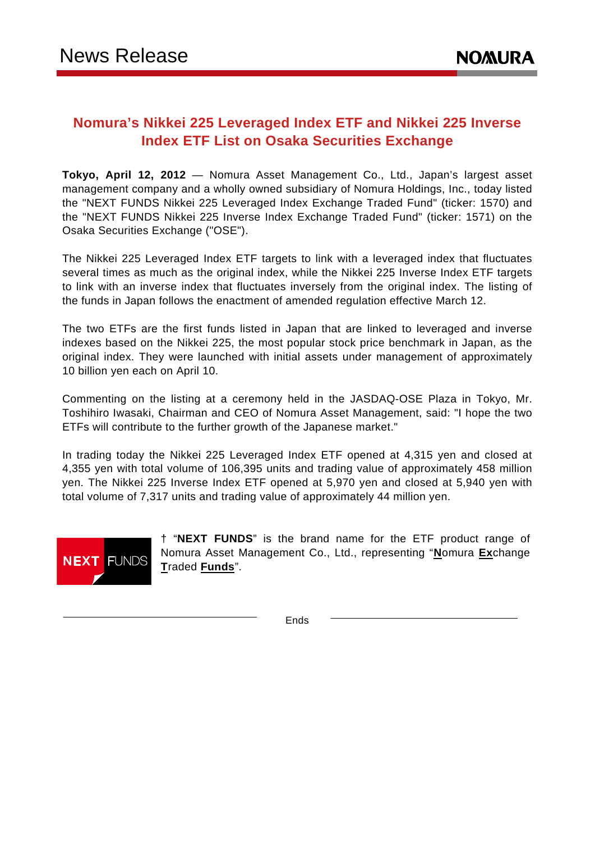# **Nomura's Nikkei 225 Leveraged Index ETF and Nikkei 225 Inverse Index ETF List on Osaka Securities Exchange**

**Tokyo, April 12, 2012** — Nomura Asset Management Co., Ltd., Japan's largest asset management company and a wholly owned subsidiary of Nomura Holdings, Inc., today listed the "NEXT FUNDS Nikkei 225 Leveraged Index Exchange Traded Fund" (ticker: 1570) and the "NEXT FUNDS Nikkei 225 Inverse Index Exchange Traded Fund" (ticker: 1571) on the Osaka Securities Exchange ("OSE").

The Nikkei 225 Leveraged Index ETF targets to link with a leveraged index that fluctuates several times as much as the original index, while the Nikkei 225 Inverse Index ETF targets to link with an inverse index that fluctuates inversely from the original index. The listing of the funds in Japan follows the enactment of amended regulation effective March 12.

The two ETFs are the first funds listed in Japan that are linked to leveraged and inverse indexes based on the Nikkei 225, the most popular stock price benchmark in Japan, as the original index. They were launched with initial assets under management of approximately 10 billion yen each on April 10.

Commenting on the listing at a ceremony held in the JASDAQ-OSE Plaza in Tokyo, Mr. Toshihiro Iwasaki, Chairman and CEO of Nomura Asset Management, said: "I hope the two ETFs will contribute to the further growth of the Japanese market."

In trading today the Nikkei 225 Leveraged Index ETF opened at 4,315 yen and closed at 4,355 yen with total volume of 106,395 units and trading value of approximately 458 million yen. The Nikkei 225 Inverse Index ETF opened at 5,970 yen and closed at 5,940 yen with total volume of 7,317 units and trading value of approximately 44 million yen.



† "**NEXT FUNDS**" is the brand name for the ETF product range of Nomura Asset Management Co., Ltd., representing "**N**omura **Ex**change **T**raded **Funds**".

Ends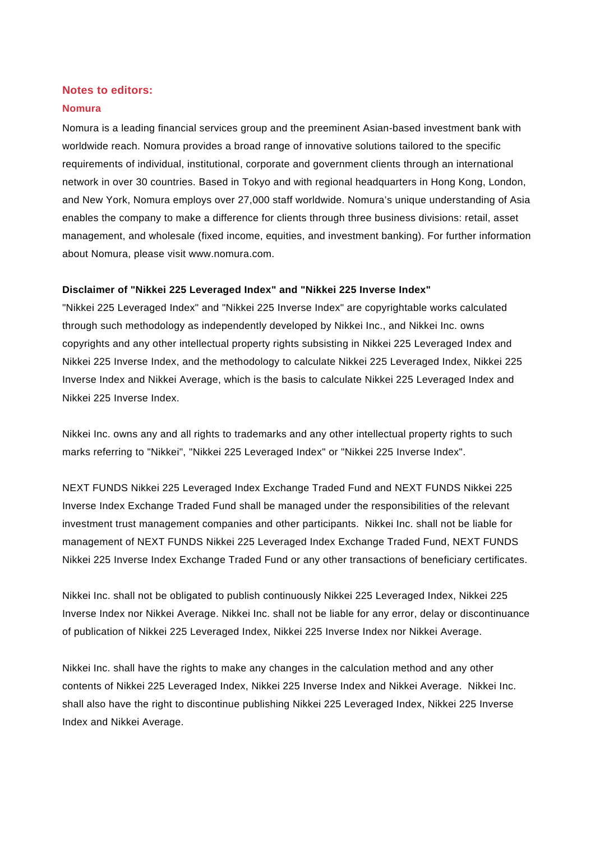# **Notes to editors:**

## **Nomura**

Nomura is a leading financial services group and the preeminent Asian-based investment bank with worldwide reach. Nomura provides a broad range of innovative solutions tailored to the specific requirements of individual, institutional, corporate and government clients through an international network in over 30 countries. Based in Tokyo and with regional headquarters in Hong Kong, London, and New York, Nomura employs over 27,000 staff worldwide. Nomura's unique understanding of Asia enables the company to make a difference for clients through three business divisions: retail, asset management, and wholesale (fixed income, equities, and investment banking). For further information about Nomura, please visit www.nomura.com.

# **Disclaimer of "Nikkei 225 Leveraged Index" and "Nikkei 225 Inverse Index"**

"Nikkei 225 Leveraged Index" and "Nikkei 225 Inverse Index" are copyrightable works calculated through such methodology as independently developed by Nikkei Inc., and Nikkei Inc. owns copyrights and any other intellectual property rights subsisting in Nikkei 225 Leveraged Index and Nikkei 225 Inverse Index, and the methodology to calculate Nikkei 225 Leveraged Index, Nikkei 225 Inverse Index and Nikkei Average, which is the basis to calculate Nikkei 225 Leveraged Index and Nikkei 225 Inverse Index.

Nikkei Inc. owns any and all rights to trademarks and any other intellectual property rights to such marks referring to "Nikkei", "Nikkei 225 Leveraged Index" or "Nikkei 225 Inverse Index".

NEXT FUNDS Nikkei 225 Leveraged Index Exchange Traded Fund and NEXT FUNDS Nikkei 225 Inverse Index Exchange Traded Fund shall be managed under the responsibilities of the relevant investment trust management companies and other participants. Nikkei Inc. shall not be liable for management of NEXT FUNDS Nikkei 225 Leveraged Index Exchange Traded Fund, NEXT FUNDS Nikkei 225 Inverse Index Exchange Traded Fund or any other transactions of beneficiary certificates.

Nikkei Inc. shall not be obligated to publish continuously Nikkei 225 Leveraged Index, Nikkei 225 Inverse Index nor Nikkei Average. Nikkei Inc. shall not be liable for any error, delay or discontinuance of publication of Nikkei 225 Leveraged Index, Nikkei 225 Inverse Index nor Nikkei Average.

Nikkei Inc. shall have the rights to make any changes in the calculation method and any other contents of Nikkei 225 Leveraged Index, Nikkei 225 Inverse Index and Nikkei Average. Nikkei Inc. shall also have the right to discontinue publishing Nikkei 225 Leveraged Index, Nikkei 225 Inverse Index and Nikkei Average.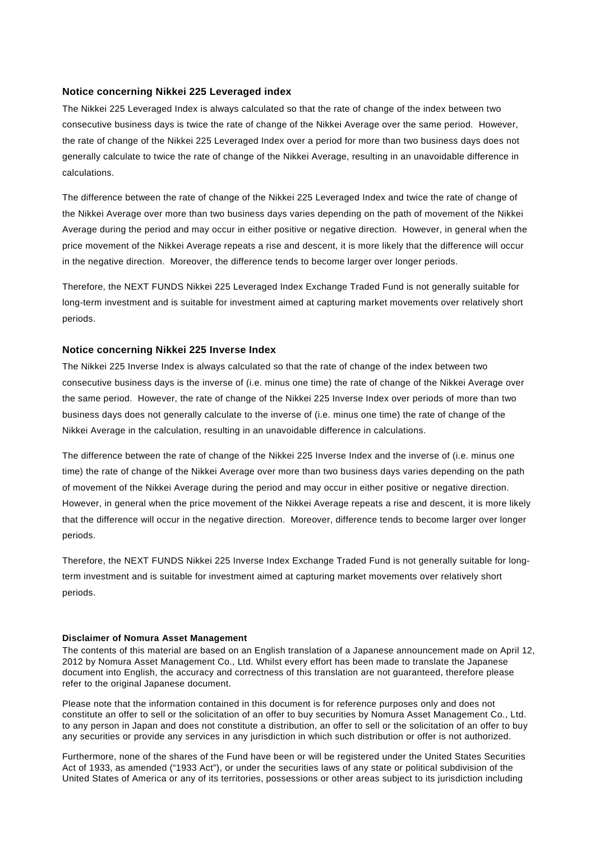## **Notice concerning Nikkei 225 Leveraged index**

The Nikkei 225 Leveraged Index is always calculated so that the rate of change of the index between two consecutive business days is twice the rate of change of the Nikkei Average over the same period. However, the rate of change of the Nikkei 225 Leveraged Index over a period for more than two business days does not generally calculate to twice the rate of change of the Nikkei Average, resulting in an unavoidable difference in calculations.

The difference between the rate of change of the Nikkei 225 Leveraged Index and twice the rate of change of the Nikkei Average over more than two business days varies depending on the path of movement of the Nikkei Average during the period and may occur in either positive or negative direction. However, in general when the price movement of the Nikkei Average repeats a rise and descent, it is more likely that the difference will occur in the negative direction. Moreover, the difference tends to become larger over longer periods.

Therefore, the NEXT FUNDS Nikkei 225 Leveraged Index Exchange Traded Fund is not generally suitable for long-term investment and is suitable for investment aimed at capturing market movements over relatively short periods.

# **Notice concerning Nikkei 225 Inverse Index**

The Nikkei 225 Inverse Index is always calculated so that the rate of change of the index between two consecutive business days is the inverse of (i.e. minus one time) the rate of change of the Nikkei Average over the same period. However, the rate of change of the Nikkei 225 Inverse Index over periods of more than two business days does not generally calculate to the inverse of (i.e. minus one time) the rate of change of the Nikkei Average in the calculation, resulting in an unavoidable difference in calculations.

The difference between the rate of change of the Nikkei 225 Inverse Index and the inverse of (i.e. minus one time) the rate of change of the Nikkei Average over more than two business days varies depending on the path of movement of the Nikkei Average during the period and may occur in either positive or negative direction. However, in general when the price movement of the Nikkei Average repeats a rise and descent, it is more likely that the difference will occur in the negative direction. Moreover, difference tends to become larger over longer periods.

Therefore, the NEXT FUNDS Nikkei 225 Inverse Index Exchange Traded Fund is not generally suitable for longterm investment and is suitable for investment aimed at capturing market movements over relatively short periods.

#### **Disclaimer of Nomura Asset Management**

The contents of this material are based on an English translation of a Japanese announcement made on April 12, 2012 by Nomura Asset Management Co., Ltd. Whilst every effort has been made to translate the Japanese document into English, the accuracy and correctness of this translation are not guaranteed, therefore please refer to the original Japanese document.

Please note that the information contained in this document is for reference purposes only and does not constitute an offer to sell or the solicitation of an offer to buy securities by Nomura Asset Management Co., Ltd. to any person in Japan and does not constitute a distribution, an offer to sell or the solicitation of an offer to buy any securities or provide any services in any jurisdiction in which such distribution or offer is not authorized.

Furthermore, none of the shares of the Fund have been or will be registered under the United States Securities Act of 1933, as amended ("1933 Act"), or under the securities laws of any state or political subdivision of the United States of America or any of its territories, possessions or other areas subject to its jurisdiction including